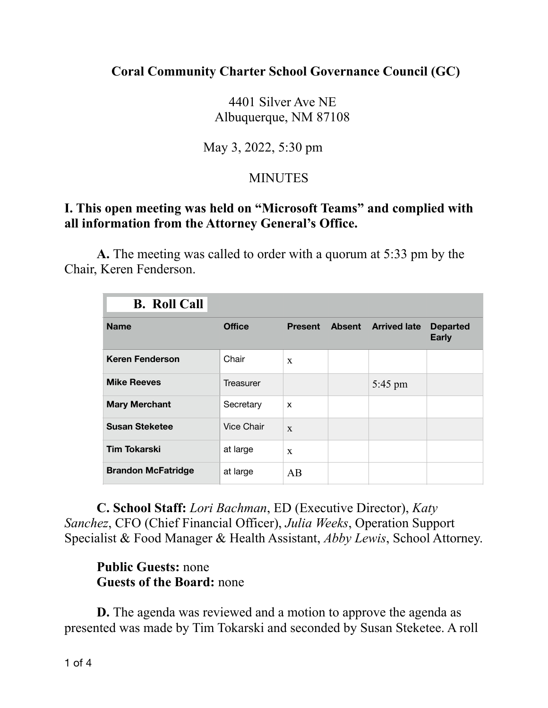### **Coral Community Charter School Governance Council (GC)**

 4401 Silver Ave NE Albuquerque, NM 87108

# May 3, 2022, 5:30 pm

# **MINUTES**

### **I. This open meeting was held on "Microsoft Teams" and complied with all information from the Attorney General's Office.**

 **A.** The meeting was called to order with a quorum at 5:33 pm by the Chair, Keren Fenderson.

| <b>B.</b> Roll Call       |                   |                |               |                     |                                 |
|---------------------------|-------------------|----------------|---------------|---------------------|---------------------------------|
| <b>Name</b>               | <b>Office</b>     | <b>Present</b> | <b>Absent</b> | <b>Arrived late</b> | <b>Departed</b><br><b>Early</b> |
| <b>Keren Fenderson</b>    | Chair             | $\mathbf{x}$   |               |                     |                                 |
| <b>Mike Reeves</b>        | Treasurer         |                |               | 5:45 pm             |                                 |
| <b>Mary Merchant</b>      | Secretary         | X              |               |                     |                                 |
| <b>Susan Steketee</b>     | <b>Vice Chair</b> | X              |               |                     |                                 |
| <b>Tim Tokarski</b>       | at large          | $\mathbf{x}$   |               |                     |                                 |
| <b>Brandon McFatridge</b> | at large          | AB             |               |                     |                                 |

**C. School Staff:** *Lori Bachman*, ED (Executive Director), *Katy Sanchez*, CFO (Chief Financial Officer), *Julia Weeks*, Operation Support Specialist & Food Manager & Health Assistant, *Abby Lewis*, School Attorney.

### **Public Guests:** none **Guests of the Board:** none

**D.** The agenda was reviewed and a motion to approve the agenda as presented was made by Tim Tokarski and seconded by Susan Steketee. A roll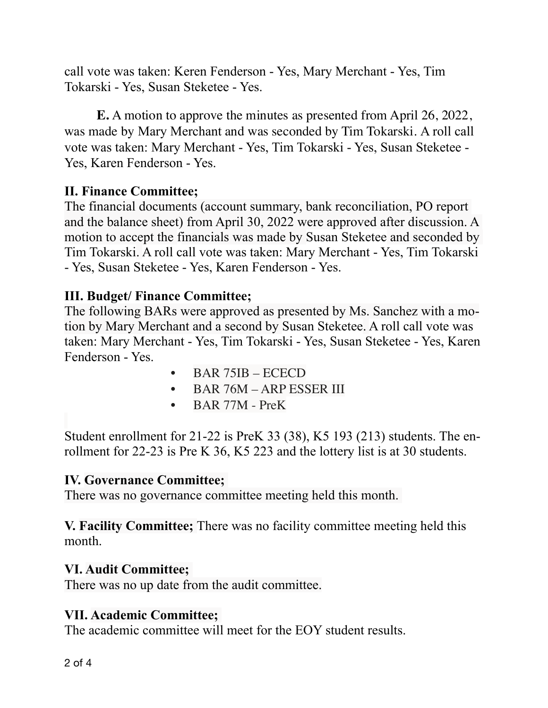call vote was taken: Keren Fenderson - Yes, Mary Merchant - Yes, Tim Tokarski - Yes, Susan Steketee - Yes.

**E.** A motion to approve the minutes as presented from April 26, 2022, was made by Mary Merchant and was seconded by Tim Tokarski. A roll call vote was taken: Mary Merchant - Yes, Tim Tokarski - Yes, Susan Steketee - Yes, Karen Fenderson - Yes.

# **II. Finance Committee;**

The financial documents (account summary, bank reconciliation, PO report and the balance sheet) from April 30, 2022 were approved after discussion. A motion to accept the financials was made by Susan Steketee and seconded by Tim Tokarski. A roll call vote was taken: Mary Merchant - Yes, Tim Tokarski - Yes, Susan Steketee - Yes, Karen Fenderson - Yes.

### **III. Budget/ Finance Committee;**

The following BARs were approved as presented by Ms. Sanchez with a motion by Mary Merchant and a second by Susan Steketee. A roll call vote was taken: Mary Merchant - Yes, Tim Tokarski - Yes, Susan Steketee - Yes, Karen Fenderson - Yes.

- BAR 75IB ECECD
- BAR 76M ARP ESSER III
- BAR 77M PreK

Student enrollment for 21-22 is PreK 33 (38), K5 193 (213) students. The enrollment for 22-23 is Pre K 36, K5 223 and the lottery list is at 30 students.

### **IV. Governance Committee;**

There was no governance committee meeting held this month.

**V. Facility Committee;** There was no facility committee meeting held this month.

#### **VI. Audit Committee;**

There was no up date from the audit committee.

### **VII. Academic Committee;**

The academic committee will meet for the EOY student results.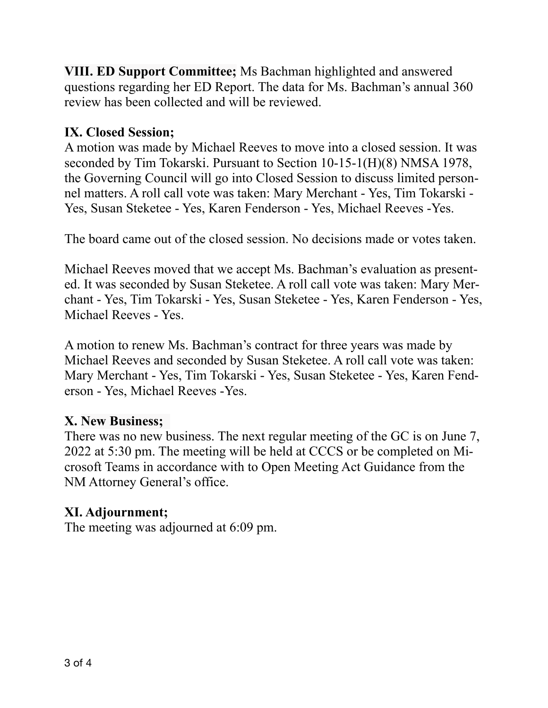**VIII. ED Support Committee;** Ms Bachman highlighted and answered questions regarding her ED Report. The data for Ms. Bachman's annual 360 review has been collected and will be reviewed.

# **IX. Closed Session;**

A motion was made by Michael Reeves to move into a closed session. It was seconded by Tim Tokarski. Pursuant to Section 10-15-1(H)(8) NMSA 1978, the Governing Council will go into Closed Session to discuss limited personnel matters. A roll call vote was taken: Mary Merchant - Yes, Tim Tokarski - Yes, Susan Steketee - Yes, Karen Fenderson - Yes, Michael Reeves -Yes.

The board came out of the closed session. No decisions made or votes taken.

Michael Reeves moved that we accept Ms. Bachman's evaluation as presented. It was seconded by Susan Steketee. A roll call vote was taken: Mary Merchant - Yes, Tim Tokarski - Yes, Susan Steketee - Yes, Karen Fenderson - Yes, Michael Reeves - Yes.

A motion to renew Ms. Bachman's contract for three years was made by Michael Reeves and seconded by Susan Steketee. A roll call vote was taken: Mary Merchant - Yes, Tim Tokarski - Yes, Susan Steketee - Yes, Karen Fenderson - Yes, Michael Reeves -Yes.

# **X. New Business;**

There was no new business. The next regular meeting of the GC is on June 7, 2022 at 5:30 pm. The meeting will be held at CCCS or be completed on Microsoft Teams in accordance with to Open Meeting Act Guidance from the NM Attorney General's office.

### **XI. Adjournment;**

The meeting was adjourned at 6:09 pm.